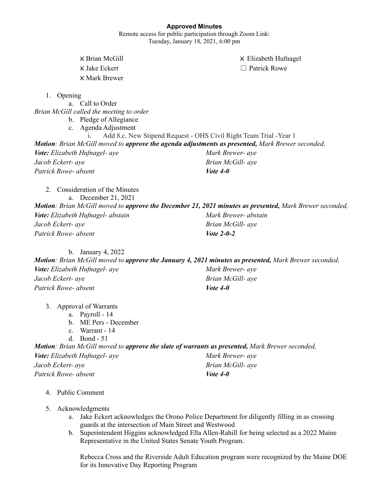### **Approved Minutes**

Remote access for public participation through Zoom Link: Tuesday, January 18, 2021, 6:00 pm

X Brian McGill X Elizabeth Hufnagel × Jake Eckert □ Patrick Rowe X Mark Brewer 1. Opening a. Call to Order *Brian McGill called the meeting to order* b. Pledge of Allegiance c. Agenda Adjustment i. Add 8.c. New Stipend Request - OHS Civil Right Team Trial -Year 1 *Motion: Brian McGill moved to approve the agenda adjustments as presented, Mark Brewer seconded, Vote: Elizabeth Hufnagel- aye Jacob Eckert- aye Patrick Rowe- absent Mark Brewer- aye Brian McGill- aye Vote 4-0* 2. Consideration of the Minutes a. December 21, 2021 *Motion: Brian McGill moved to approve the December 21, 2021 minutes as presented, Mark Brewer seconded, Vote: Elizabeth Hufnagel- abstain Jacob Eckert- aye Patrick Rowe- absent Mark Brewer- abstain Brian McGill- aye Vote 2-0-2* b. January 4, 2022 *Motion: Brian McGill moved to approve the January 4, 2021 minutes as presented, Mark Brewer seconded, Vote: Elizabeth Hufnagel- aye Jacob Eckert- aye Patrick Rowe- absent Mark Brewer- aye Brian McGill- aye Vote 4-0* 3. Approval of Warrants a. Payroll - 14 b. ME Pers - December c. Warrant - 14 d. Bond - 51 *Motion: Brian McGill moved to approve the slate of warrants as presented, Mark Brewer seconded, Vote: Elizabeth Hufnagel- aye Jacob Eckert- aye Patrick Rowe- absent Mark Brewer- aye Brian McGill- aye Vote 4-0* 4. Public Comment 5. Acknowledgments

- a. Jake Eckert acknowledges the Orono Police Department for diligently filling in as crossing guards at the intersection of Main Street and Westwood
- b. Superintendent Higgins acknowledged Ella Allen-Rahill for being selected as a 2022 Maine Representative in the United States Senate Youth Program.

Rebecca Cross and the Riverside Adult Education program were recognized by the Maine DOE for its Innovative Day Reporting Program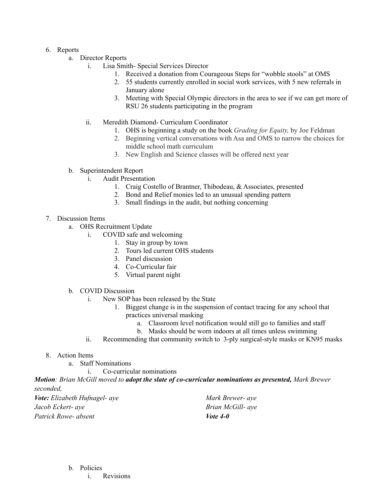## 6. Reports

- a. Director Reports
	- i. Lisa Smith- Special Services Director
		- 1. Received a donation from Courageous Steps for "wobble stools" at OMS
		- 2. 55 students currently enrolled in social work services, with 5 new referrals in January alone
		- 3. Meeting with Special Olympic directors in the area to see if we can get more of RSU 26 students participating in the program
	- ii. Meredith Diamond- Curriculum Coordinator
		- 1. OHS is beginning a study on the book *Grading for Equity,* by Joe Feldman
		- 2. Beginning vertical conversations with Asa and OMS to narrow the choices for middle school math curriculum
		- 3. New English and Science classes will be offered next year
- b. Superintendent Report
	- i. Audit Presentation
		- 1. Craig Costello of Brantner, Thibodeau, & Associates, presented
		- 2. Bond and Relief monies led to an unusual spending pattern
		- 3. Small findings in the audit, but nothing concerning

## 7. Discussion Items

- a. OHS Recruitment Update
	- i. COVID safe and welcoming
		- 1. Stay in group by town
		- 2. Tours led current OHS students
		- 3. Panel discussion
		- 4. Co-Curricular fair
		- 5. Virtual parent night
- b. COVID Discussion
	- i. New SOP has been released by the State
		- 1. Biggest change is in the suspension of contact tracing for any school that practices universal masking
			- a. Classroom level notification would still go to families and staff
			- b. Masks should be worn indoors at all times unless swimming
	- ii. Recommending that community switch to 3-ply surgical-style masks or KN95 masks
- 8. Action Items
	- a. Staff Nominations
		- i. Co-curricular nominations

*Motion: Brian McGill moved to adopt the slate of co-curricular nominations as presented, Mark Brewer seconded,*

*Vote: Elizabeth Hufnagel- aye Jacob Eckert- aye Patrick Rowe- absent*

*Mark Brewer- aye Brian McGill- aye Vote 4-0*

## b. Policies

i. Revisions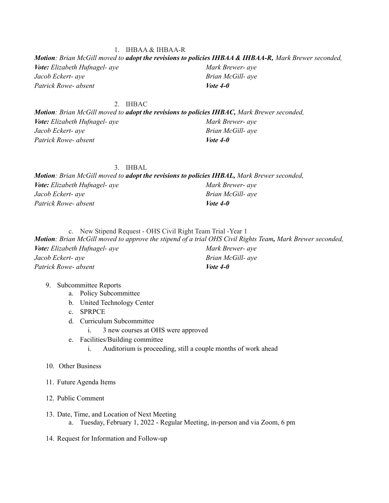#### *Motion: Brian McGill moved to adopt the revisions to policies IHBAA & IHBAA-R, Mark Brewer seconded, Vote: Elizabeth Hufnagel- aye Jacob Eckert- aye Patrick Rowe- absent Mark Brewer- aye Brian McGill- aye Vote 4-0*

2. IHBAC *Motion: Brian McGill moved to adopt the revisions to policies IHBAC, Mark Brewer seconded, Vote: Elizabeth Hufnagel- aye Jacob Eckert- aye Patrick Rowe- absent Mark Brewer- aye Brian McGill- aye Vote 4-0*

3. IHBAL *Motion: Brian McGill moved to adopt the revisions to policies IHBAL, Mark Brewer seconded, Vote: Elizabeth Hufnagel- aye Jacob Eckert- aye Patrick Rowe- absent Mark Brewer- aye Brian McGill- aye Vote 4-0*

c. New Stipend Request - OHS Civil Right Team Trial -Year 1 Motion: Brian McGill moved to approve the stipend of a trial OHS Civil Rights Team, Mark Brewer seconded, *Vote: Elizabeth Hufnagel- aye Jacob Eckert- aye Patrick Rowe- absent Mark Brewer- aye Brian McGill- aye Vote 4-0*

### 9. Subcommittee Reports

- a. Policy Subcommittee
- b. United Technology Center
- c. SPRPCE
- d. Curriculum Subcommittee
	- i. 3 new courses at OHS were approved
- e. Facilities/Building committee
	- i. Auditorium is proceeding, still a couple months of work ahead
- 10. Other Business
- 11. Future Agenda Items
- 12. Public Comment
- 13. Date, Time, and Location of Next Meeting a. Tuesday, February 1, 2022 - Regular Meeting, in-person and via Zoom, 6 pm
- 14. Request for Information and Follow-up

# 1. IHBAA & IHBAA-R